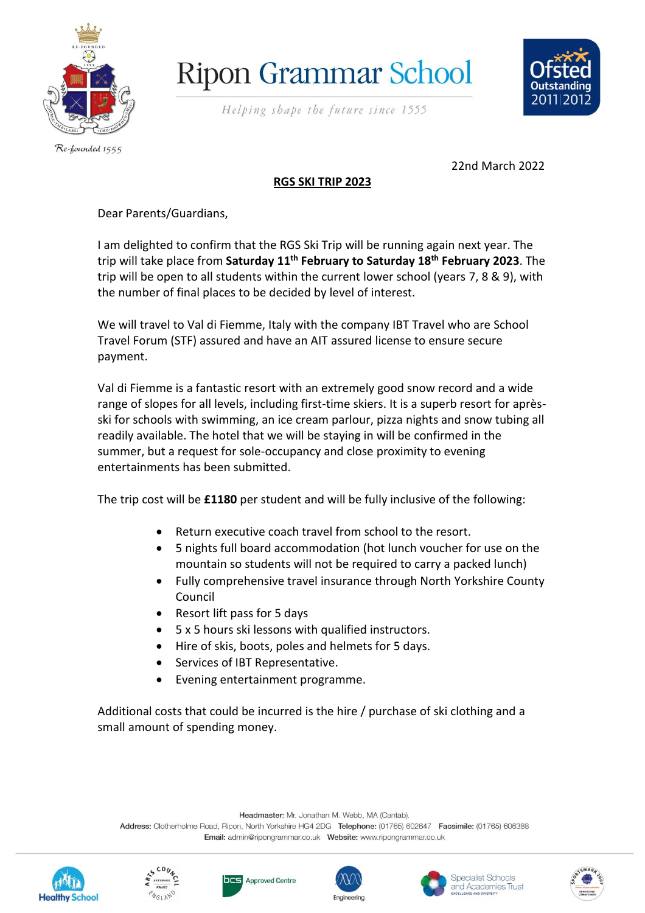

## **Ripon Grammar School**

Helping shape the future since 1555



Re-founded 1555

22nd March 2022

#### **RGS SKI TRIP 2023**

Dear Parents/Guardians,

I am delighted to confirm that the RGS Ski Trip will be running again next year. The trip will take place from **Saturday 11 th February to Saturday 18th February 2023**. The trip will be open to all students within the current lower school (years 7, 8 & 9), with the number of final places to be decided by level of interest.

We will travel to Val di Fiemme, Italy with the company IBT Travel who are School Travel Forum (STF) assured and have an AIT assured license to ensure secure payment.

Val di Fiemme is a fantastic resort with an extremely good snow record and a wide range of slopes for all levels, including first-time skiers. It is a superb resort for aprèsski for schools with swimming, an ice cream parlour, pizza nights and snow tubing all readily available. The hotel that we will be staying in will be confirmed in the summer, but a request for sole-occupancy and close proximity to evening entertainments has been submitted.

The trip cost will be **£1180** per student and will be fully inclusive of the following:

- Return executive coach travel from school to the resort.
- 5 nights full board accommodation (hot lunch voucher for use on the mountain so students will not be required to carry a packed lunch)
- Fully comprehensive travel insurance through North Yorkshire County Council
- Resort lift pass for 5 days
- 5 x 5 hours ski lessons with qualified instructors.
- Hire of skis, boots, poles and helmets for 5 days.
- Services of IBT Representative.
- Evening entertainment programme.

Additional costs that could be incurred is the hire / purchase of ski clothing and a small amount of spending money.

Headmaster: Mr. Jonathan M. Webb, MA (Cantab).

Address: Clotherholme Road, Ripon, North Yorkshire HG4 2DG Telephone: (01765) 602647 Facsimile: (01765) 606388 













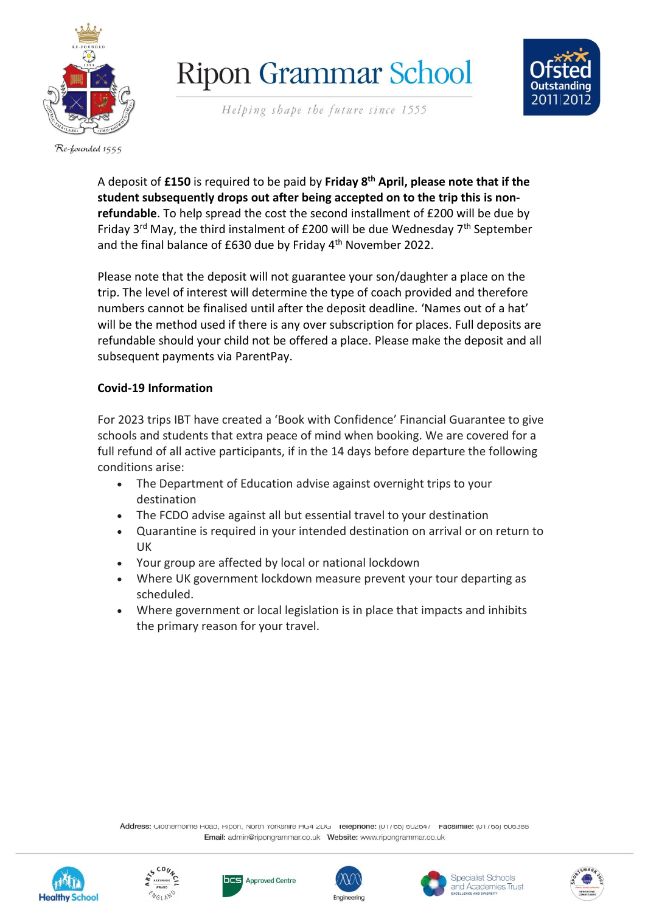

# **Ripon Grammar School**

Helping shape the future since 1555



Re-founded 1555

A deposit of **£150** is required to be paid by **Friday 8 th April, please note that if the student subsequently drops out after being accepted on to the trip this is nonrefundable**. To help spread the cost the second installment of £200 will be due by Friday 3<sup>rd</sup> May, the third instalment of £200 will be due Wednesday 7<sup>th</sup> September and the final balance of £630 due by Friday 4 th November 2022.

Please note that the deposit will not guarantee your son/daughter a place on the trip. The level of interest will determine the type of coach provided and therefore numbers cannot be finalised until after the deposit deadline. 'Names out of a hat' will be the method used if there is any over subscription for places. Full deposits are refundable should your child not be offered a place. Please make the deposit and all subsequent payments via ParentPay.

#### **Covid-19 Information**

For 2023 trips IBT have created a 'Book with Confidence' Financial Guarantee to give schools and students that extra peace of mind when booking. We are covered for a full refund of all active participants, if in the 14 days before departure the following conditions arise:

- The Department of Education advise against overnight trips to your destination
- The FCDO advise against all but essential travel to your destination
- Quarantine is required in your intended destination on arrival or on return to UK
- Your group are affected by local or national lockdown
- Where UK government lockdown measure prevent your tour departing as scheduled.
- Where government or local legislation is in place that impacts and inhibits the primary reason for your travel.

Address: Glothernomie Hoad, Hipon, North Yorkshire Hoad ZDG Telephone: (UT700) 002047 racsimile: (UT700) 000300